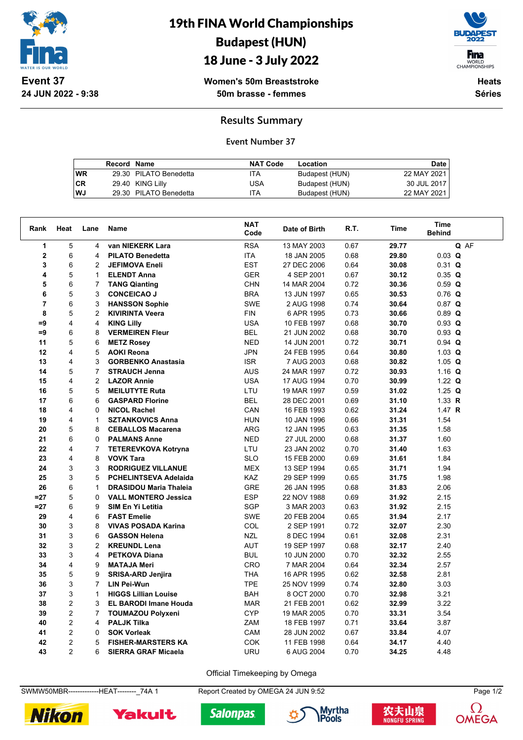

19th FINA World Championships Budapest (HUN)

## 18 June - 3 July 2022



**Women's 50m Breaststroke 50m brasse - femmes**

**Heats Séries**

**Results Summary**

**Event Number 37**

|      | Record Name |                        | <b>NAT Code</b> | Location       | Date        |
|------|-------------|------------------------|-----------------|----------------|-------------|
| l WR |             | 29.30 PILATO Benedetta | ITA             | Budapest (HUN) | 22 MAY 2021 |
| l CR |             | 29.40 KING Lilly       | USA             | Budapest (HUN) | 30 JUL 2017 |
| l WJ |             | 29.30 PILATO Benedetta | ITA             | Budapest (HUN) | 22 MAY 2021 |

| Rank                    | Heat           | Lane           | Name                          | <b>NAT</b><br>Code | Date of Birth | R.T. | Time  | <b>Time</b><br><b>Behind</b> |
|-------------------------|----------------|----------------|-------------------------------|--------------------|---------------|------|-------|------------------------------|
| 1                       | 5              | 4              | van NIEKERK Lara              | <b>RSA</b>         | 13 MAY 2003   | 0.67 | 29.77 | Q AF                         |
| $\mathbf 2$             | 6              | 4              | <b>PILATO Benedetta</b>       | <b>ITA</b>         | 18 JAN 2005   | 0.68 | 29.80 | $0.03$ Q                     |
| 3                       | 6              | 2              | <b>JEFIMOVA Eneli</b>         | <b>EST</b>         | 27 DEC 2006   | 0.64 | 30.08 | $0.31$ Q                     |
| 4                       | 5              | 1              | <b>ELENDT Anna</b>            | <b>GER</b>         | 4 SEP 2001    | 0.67 | 30.12 | $0.35$ Q                     |
| 5                       | 6              | 7              | <b>TANG Qianting</b>          | <b>CHN</b>         | 14 MAR 2004   | 0.72 | 30.36 | $0.59$ Q                     |
| 6                       | 5              | 3              | <b>CONCEICAO J</b>            | <b>BRA</b>         | 13 JUN 1997   | 0.65 | 30.53 | $0.76$ Q                     |
| $\overline{\mathbf{r}}$ | 6              | 3              | <b>HANSSON Sophie</b>         | <b>SWE</b>         | 2 AUG 1998    | 0.74 | 30.64 | $0.87$ Q                     |
| 8                       | 5              | 2              | <b>KIVIRINTA Veera</b>        | <b>FIN</b>         | 6 APR 1995    | 0.73 | 30.66 | $0.89$ Q                     |
| $=9$                    | 4              | 4              | <b>KING Lilly</b>             | <b>USA</b>         | 10 FEB 1997   | 0.68 | 30.70 | $0.93$ Q                     |
| $=9$                    | 6              | 8              | <b>VERMEIREN Fleur</b>        | <b>BEL</b>         | 21 JUN 2002   | 0.68 | 30.70 | $0.93$ Q                     |
| 11                      | 5              | 6              | <b>METZ Rosey</b>             | <b>NED</b>         | 14 JUN 2001   | 0.72 | 30.71 | $0.94$ Q                     |
| 12                      | 4              | 5              | <b>AOKI Reona</b>             | <b>JPN</b>         | 24 FEB 1995   | 0.64 | 30.80 | $1.03$ Q                     |
| 13                      | 4              | 3              | <b>GORBENKO Anastasia</b>     | <b>ISR</b>         | 7 AUG 2003    | 0.68 | 30.82 | 1.05 $Q$                     |
| 14                      | 5              | $\overline{7}$ | <b>STRAUCH Jenna</b>          | <b>AUS</b>         | 24 MAR 1997   | 0.72 | 30.93 | 1.16 $Q$                     |
| 15                      | 4              | $\overline{2}$ | <b>LAZOR Annie</b>            | <b>USA</b>         | 17 AUG 1994   | 0.70 | 30.99 | 1.22 $Q$                     |
| 16                      | 5              | 5              | <b>MEILUTYTE Ruta</b>         | LTU                | 19 MAR 1997   | 0.59 | 31.02 | 1.25 $Q$                     |
| 17                      | 6              | 6              | <b>GASPARD Florine</b>        | <b>BEL</b>         | 28 DEC 2001   | 0.69 | 31.10 | 1.33 $R$                     |
| 18                      | 4              | 0              | <b>NICOL Rachel</b>           | CAN                | 16 FEB 1993   | 0.62 | 31.24 | 1.47 $R$                     |
| 19                      | 4              | $\mathbf{1}$   | <b>SZTANKOVICS Anna</b>       | <b>HUN</b>         | 10 JAN 1996   | 0.66 | 31.31 | 1.54                         |
| 20                      | 5              | 8              | <b>CEBALLOS Macarena</b>      | <b>ARG</b>         | 12 JAN 1995   | 0.63 | 31.35 | 1.58                         |
| 21                      | 6              | 0              | <b>PALMANS Anne</b>           | <b>NED</b>         | 27 JUL 2000   | 0.68 | 31.37 | 1.60                         |
| 22                      | 4              | $\overline{7}$ | <b>TETEREVKOVA Kotryna</b>    | LTU                | 23 JAN 2002   | 0.70 | 31.40 | 1.63                         |
| 23                      | 4              | 8              | <b>VOVK Tara</b>              | <b>SLO</b>         | 15 FEB 2000   | 0.69 | 31.61 | 1.84                         |
| 24                      | 3              | 3              | <b>RODRIGUEZ VILLANUE</b>     | <b>MEX</b>         | 13 SEP 1994   | 0.65 | 31.71 | 1.94                         |
| 25                      | 3              | 5              | PCHELINTSEVA Adelaida         | KAZ                | 29 SEP 1999   | 0.65 | 31.75 | 1.98                         |
| 26                      | 6              | $\mathbf{1}$   | <b>DRASIDOU Maria Thaleia</b> | <b>GRE</b>         | 26 JAN 1995   | 0.68 | 31.83 | 2.06                         |
| $=27$                   | 5              | 0              | <b>VALL MONTERO Jessica</b>   | <b>ESP</b>         | 22 NOV 1988   | 0.69 | 31.92 | 2.15                         |
| $=27$                   | 6              | 9              | <b>SIM En Yi Letitia</b>      | <b>SGP</b>         | 3 MAR 2003    | 0.63 | 31.92 | 2.15                         |
| 29                      | 4              | 6              | <b>FAST Emelie</b>            | <b>SWE</b>         | 20 FEB 2004   | 0.65 | 31.94 | 2.17                         |
| 30                      | 3              | 8              | <b>VIVAS POSADA Karina</b>    | COL                | 2 SEP 1991    | 0.72 | 32.07 | 2.30                         |
| 31                      | 3              | 6              | <b>GASSON Helena</b>          | <b>NZL</b>         | 8 DEC 1994    | 0.61 | 32.08 | 2.31                         |
| 32                      | 3              | 2              | <b>KREUNDL Lena</b>           | AUT                | 19 SEP 1997   | 0.68 | 32.17 | 2.40                         |
| 33                      | 3              | 4              | <b>PETKOVA Diana</b>          | <b>BUL</b>         | 10 JUN 2000   | 0.70 | 32.32 | 2.55                         |
| 34                      | 4              | 9              | <b>MATAJA Meri</b>            | <b>CRO</b>         | 7 MAR 2004    | 0.64 | 32.34 | 2.57                         |
| 35                      | 5              | 9              | <b>SRISA-ARD Jenjira</b>      | <b>THA</b>         | 16 APR 1995   | 0.62 | 32.58 | 2.81                         |
| 36                      | 3              | $\overline{7}$ | <b>LIN Pei-Wun</b>            | <b>TPE</b>         | 25 NOV 1999   | 0.74 | 32.80 | 3.03                         |
| 37                      | 3              | $\mathbf{1}$   | <b>HIGGS Lillian Louise</b>   | <b>BAH</b>         | 8 OCT 2000    | 0.70 | 32.98 | 3.21                         |
| 38                      | $\overline{2}$ | 3              | <b>EL BARODI Imane Houda</b>  | <b>MAR</b>         | 21 FEB 2001   | 0.62 | 32.99 | 3.22                         |
| 39                      | $\overline{2}$ | $\overline{7}$ | <b>TOUMAZOU Polyxeni</b>      | <b>CYP</b>         | 19 MAR 2005   | 0.70 | 33.31 | 3.54                         |
| 40                      | $\overline{2}$ | 4              | <b>PALJK Tilka</b>            | ZAM                | 18 FEB 1997   | 0.71 | 33.64 | 3.87                         |
| 41                      | $\overline{2}$ | 0              | <b>SOK Vorleak</b>            | CAM                | 28 JUN 2002   | 0.67 | 33.84 | 4.07                         |
| 42                      | $\overline{2}$ | 5              | <b>FISHER-MARSTERS KA</b>     | COK                | 11 FEB 1998   | 0.64 | 34.17 | 4.40                         |
| 43                      | $\overline{2}$ | 6              | <b>SIERRA GRAF Micaela</b>    | URU                | 6 AUG 2004    | 0.70 | 34.25 | 4.48                         |

Official Timekeeping by Omega

SWMW50MBR--------------HEAT--------\_74A 1 Report Created by OMEGA 24 JUN 9:52 Page 1/2